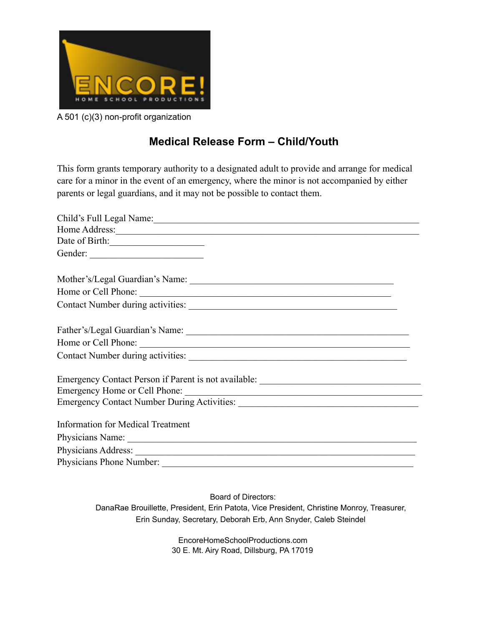

A 501 (c)(3) non-profit organization

## **Medical Release Form – Child/Youth**

This form grants temporary authority to a designated adult to provide and arrange for medical care for a minor in the event of an emergency, where the minor is not accompanied by either parents or legal guardians, and it may not be possible to contact them.

| Child's Full Legal Name:                                                          |
|-----------------------------------------------------------------------------------|
|                                                                                   |
| Date of Birth:                                                                    |
|                                                                                   |
| Mother's/Legal Guardian's Name:                                                   |
| Home or Cell Phone:                                                               |
|                                                                                   |
|                                                                                   |
| Home or Cell Phone:                                                               |
|                                                                                   |
| Emergency Contact Person if Parent is not available: ____________________________ |
|                                                                                   |
|                                                                                   |
| Information for Medical Treatment                                                 |
|                                                                                   |
|                                                                                   |
|                                                                                   |

Board of Directors: DanaRae Brouillette, President, Erin Patota, Vice President, Christine Monroy, Treasurer, Erin Sunday, Secretary, Deborah Erb, Ann Snyder, Caleb Steindel

> EncoreHomeSchoolProductions.com 30 E. Mt. Airy Road, Dillsburg, PA 17019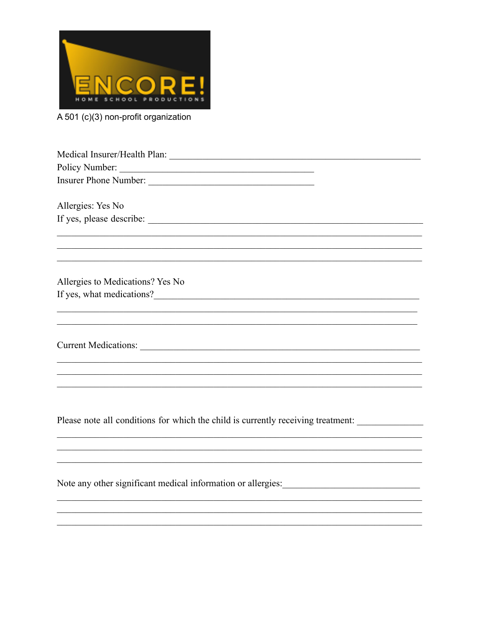

A 501 (c)(3) non-profit organization

Medical Insurer/Health Plan: Medical Insurer/Health Plan: 

Allergies: Yes No 

Allergies to Medications? Yes No If yes, what medications?<br>
<u>Example 2014</u>

**Current Medications:** 

Please note all conditions for which the child is currently receiving treatment:

Note any other significant medical information or allergies: